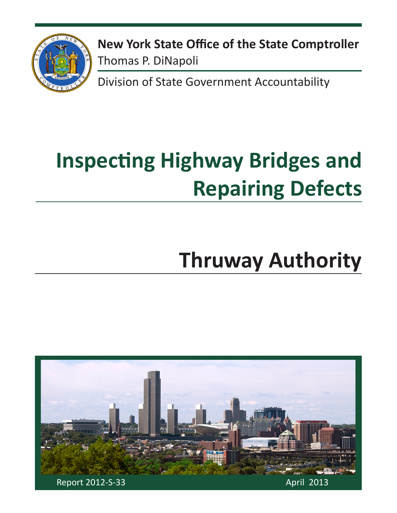

**New York State Office of the State Comptroller** Thomas P. DiNapoli

Division of State Government Accountability

# **Inspecting Highway Bridges and Repairing Defects**

# **Thruway Authority**

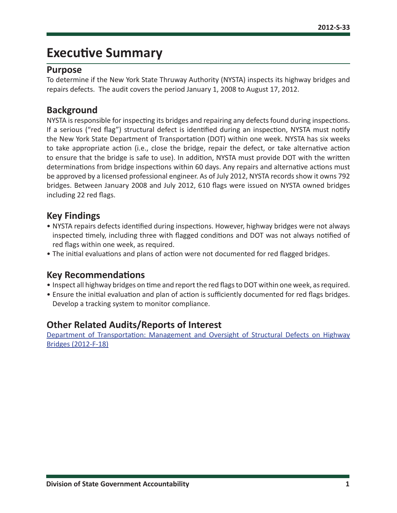## **Executive Summary**

#### **Purpose**

To determine if the New York State Thruway Authority (NYSTA) inspects its highway bridges and repairs defects. The audit covers the period January 1, 2008 to August 17, 2012.

#### **Background**

NYSTA is responsible for inspecting its bridges and repairing any defects found during inspections. If a serious ("red flag") structural defect is identified during an inspection, NYSTA must notify the New York State Department of Transportation (DOT) within one week. NYSTA has six weeks to take appropriate action (i.e., close the bridge, repair the defect, or take alternative action to ensure that the bridge is safe to use). In addition, NYSTA must provide DOT with the written determinations from bridge inspections within 60 days. Any repairs and alternative actions must be approved by a licensed professional engineer. As of July 2012, NYSTA records show it owns 792 bridges. Between January 2008 and July 2012, 610 flags were issued on NYSTA owned bridges including 22 red flags.

#### **Key Findings**

- NYSTA repairs defects identified during inspections. However, highway bridges were not always inspected timely, including three with flagged conditions and DOT was not always notified of red flags within one week, as required.
- The initial evaluations and plans of action were not documented for red flagged bridges.

#### **Key Recommendations**

- Inspect all highway bridges on time and report the red flags to DOT within one week, as required.
- Ensure the initial evaluation and plan of action is sufficiently documented for red flags bridges. Develop a tracking system to monitor compliance.

## **Other Related Audits/Reports of Interest**

[Department of Transportation: Management and Oversight of Structural Defects on Highway](http://osc.state.ny.us/audits/allaudits/093012/12f18.pdf)  [Bridges \(2012-F-18\)](http://osc.state.ny.us/audits/allaudits/093012/12f18.pdf)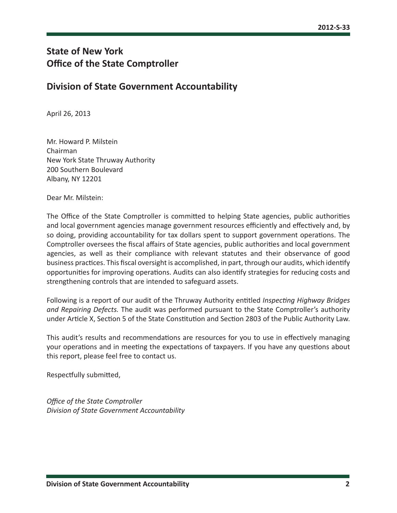### **State of New York Office of the State Comptroller**

#### **Division of State Government Accountability**

April 26, 2013

Mr. Howard P. Milstein Chairman New York State Thruway Authority 200 Southern Boulevard Albany, NY 12201

Dear Mr. Milstein:

The Office of the State Comptroller is committed to helping State agencies, public authorities and local government agencies manage government resources efficiently and effectively and, by so doing, providing accountability for tax dollars spent to support government operations. The Comptroller oversees the fiscal affairs of State agencies, public authorities and local government agencies, as well as their compliance with relevant statutes and their observance of good business practices. This fiscal oversight is accomplished, in part, through our audits, which identify opportunities for improving operations. Audits can also identify strategies for reducing costs and strengthening controls that are intended to safeguard assets.

Following is a report of our audit of the Thruway Authority entitled *Inspecting Highway Bridges and Repairing Defects.* The audit was performed pursuant to the State Comptroller's authority under Article X, Section 5 of the State Constitution and Section 2803 of the Public Authority Law.

This audit's results and recommendations are resources for you to use in effectively managing your operations and in meeting the expectations of taxpayers. If you have any questions about this report, please feel free to contact us.

Respectfully submitted,

*Office of the State Comptroller Division of State Government Accountability*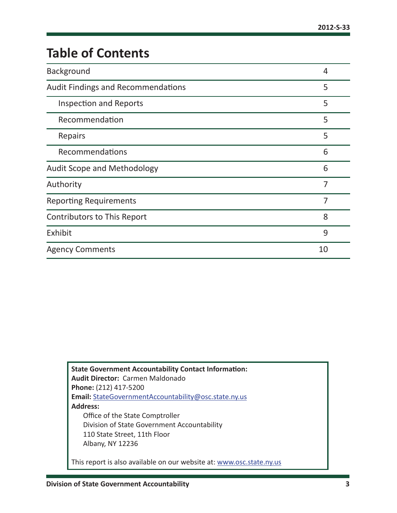# **Table of Contents**

| Background                                | 4              |
|-------------------------------------------|----------------|
| <b>Audit Findings and Recommendations</b> | 5              |
| <b>Inspection and Reports</b>             | 5              |
| Recommendation                            | 5              |
| Repairs                                   | 5              |
| Recommendations                           | 6              |
| <b>Audit Scope and Methodology</b>        | 6              |
| Authority                                 | 7              |
| <b>Reporting Requirements</b>             | $\overline{7}$ |
| Contributors to This Report               | 8              |
| Exhibit                                   | 9              |
| <b>Agency Comments</b>                    | 10             |

**State Government Accountability Contact Information: Audit Director:** Carmen Maldonado **Phone:** (212) 417-5200 **Email:** [StateGovernmentAccountability@osc.state.ny.us](mailto:StateGovernmentAccountability%40osc.state.ny.us?subject=) **Address:** Office of the State Comptroller Division of State Government Accountability 110 State Street, 11th Floor Albany, NY 12236 This report is also available on our website at: [www.osc.state.ny.us](http://www.osc.state.ny.us)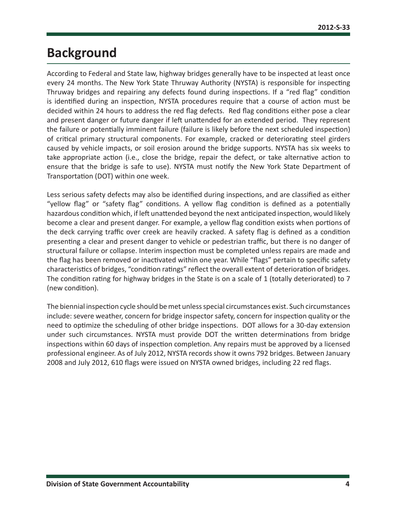## <span id="page-4-0"></span>**Background**

According to Federal and State law, highway bridges generally have to be inspected at least once every 24 months. The New York State Thruway Authority (NYSTA) is responsible for inspecting Thruway bridges and repairing any defects found during inspections. If a "red flag" condition is identified during an inspection, NYSTA procedures require that a course of action must be decided within 24 hours to address the red flag defects. Red flag conditions either pose a clear and present danger or future danger if left unattended for an extended period. They represent the failure or potentially imminent failure (failure is likely before the next scheduled inspection) of critical primary structural components. For example, cracked or deteriorating steel girders caused by vehicle impacts, or soil erosion around the bridge supports. NYSTA has six weeks to take appropriate action (i.e., close the bridge, repair the defect, or take alternative action to ensure that the bridge is safe to use). NYSTA must notify the New York State Department of Transportation (DOT) within one week.

Less serious safety defects may also be identified during inspections, and are classified as either "yellow flag" or "safety flag" conditions. A yellow flag condition is defined as a potentially hazardous condition which, if left unattended beyond the next anticipated inspection, would likely become a clear and present danger. For example, a yellow flag condition exists when portions of the deck carrying traffic over creek are heavily cracked. A safety flag is defined as a condition presenting a clear and present danger to vehicle or pedestrian traffic, but there is no danger of structural failure or collapse. Interim inspection must be completed unless repairs are made and the flag has been removed or inactivated within one year. While "flags" pertain to specific safety characteristics of bridges, "condition ratings" reflect the overall extent of deterioration of bridges. The condition rating for highway bridges in the State is on a scale of 1 (totally deteriorated) to 7 (new condition).

The biennial inspection cycle should be met unless special circumstances exist. Such circumstances include: severe weather, concern for bridge inspector safety, concern for inspection quality or the need to optimize the scheduling of other bridge inspections. DOT allows for a 30-day extension under such circumstances. NYSTA must provide DOT the written determinations from bridge inspections within 60 days of inspection completion. Any repairs must be approved by a licensed professional engineer. As of July 2012, NYSTA records show it owns 792 bridges. Between January 2008 and July 2012, 610 flags were issued on NYSTA owned bridges, including 22 red flags.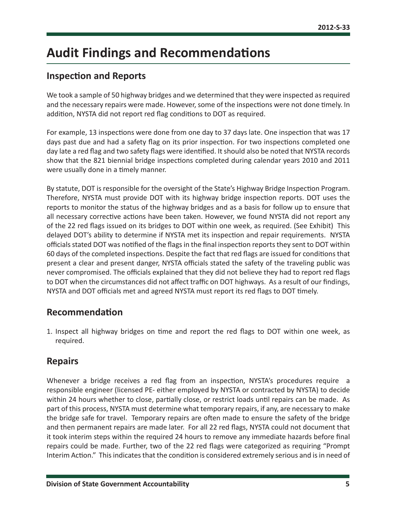## <span id="page-5-0"></span>**Audit Findings and Recommendations**

#### **Inspection and Reports**

We took a sample of 50 highway bridges and we determined that they were inspected as required and the necessary repairs were made. However, some of the inspections were not done timely. In addition, NYSTA did not report red flag conditions to DOT as required.

For example, 13 inspections were done from one day to 37 days late. One inspection that was 17 days past due and had a safety flag on its prior inspection. For two inspections completed one day late a red flag and two safety flags were identified. It should also be noted that NYSTA records show that the 821 biennial bridge inspections completed during calendar years 2010 and 2011 were usually done in a timely manner.

By statute, DOT is responsible for the oversight of the State's Highway Bridge Inspection Program. Therefore, NYSTA must provide DOT with its highway bridge inspection reports. DOT uses the reports to monitor the status of the highway bridges and as a basis for follow up to ensure that all necessary corrective actions have been taken. However, we found NYSTA did not report any of the 22 red flags issued on its bridges to DOT within one week, as required. (See Exhibit) This delayed DOT's ability to determine if NYSTA met its inspection and repair requirements. NYSTA officials stated DOT was notified of the flags in the final inspection reports they sent to DOT within 60 days of the completed inspections. Despite the fact that red flags are issued for conditions that present a clear and present danger, NYSTA officials stated the safety of the traveling public was never compromised. The officials explained that they did not believe they had to report red flags to DOT when the circumstances did not affect traffic on DOT highways. As a result of our findings, NYSTA and DOT officials met and agreed NYSTA must report its red flags to DOT timely.

#### **Recommendation**

1. Inspect all highway bridges on time and report the red flags to DOT within one week, as required.

#### **Repairs**

Whenever a bridge receives a red flag from an inspection, NYSTA's procedures require a responsible engineer (licensed PE- either employed by NYSTA or contracted by NYSTA) to decide within 24 hours whether to close, partially close, or restrict loads until repairs can be made. As part of this process, NYSTA must determine what temporary repairs, if any, are necessary to make the bridge safe for travel. Temporary repairs are often made to ensure the safety of the bridge and then permanent repairs are made later. For all 22 red flags, NYSTA could not document that it took interim steps within the required 24 hours to remove any immediate hazards before final repairs could be made. Further, two of the 22 red flags were categorized as requiring "Prompt Interim Action." This indicates that the condition is considered extremely serious and is in need of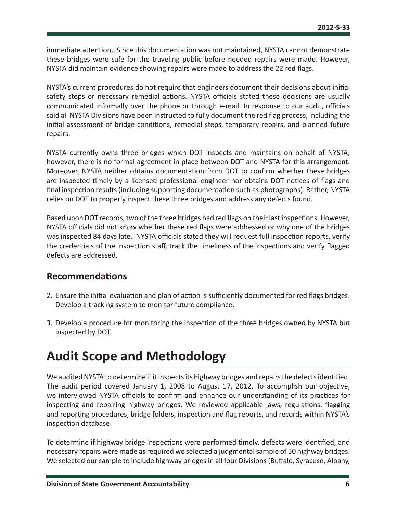<span id="page-6-0"></span>immediate attention. Since this documentation was not maintained, NYSTA cannot demonstrate these bridges were safe for the traveling public before needed repairs were made. However, NYSTA did maintain evidence showing repairs were made to address the 22 red flags.

NYSTA's current procedures do not require that engineers document their decisions about initial safety steps or necessary remedial actions. NYSTA officials stated these decisions are usually communicated informally over the phone or through e-mail. In response to our audit, officials said all NYSTA Divisions have been instructed to fully document the red flag process, including the initial assessment of bridge conditions, remedial steps, temporary repairs, and planned future repairs.

NYSTA currently owns three bridges which DOT inspects and maintains on behalf of NYSTA; however, there is no formal agreement in place between DOT and NYSTA for this arrangement. Moreover, NYSTA neither obtains documentation from DOT to confirm whether these bridges are inspected timely by a licensed professional engineer nor obtains DOT notices of flags and final inspection results (including supporting documentation such as photographs). Rather, NYSTA relies on DOT to properly inspect these three bridges and address any defects found.

Based upon DOT records, two of the three bridges had red flags on their last inspections. However, NYSTA officials did not know whether these red flags were addressed or why one of the bridges was inspected 84 days late. NYSTA officials stated they will request full inspection reports, verify the credentials of the inspection staff, track the timeliness of the inspections and verify flagged defects are addressed.

#### **Recommendations**

- 2. Ensure the initial evaluation and plan of action is sufficiently documented for red flags bridges. Develop a tracking system to monitor future compliance.
- 3. Develop a procedure for monitoring the inspection of the three bridges owned by NYSTA but inspected by DOT.

## **Audit Scope and Methodology**

We audited NYSTA to determine if it inspects its highway bridges and repairs the defects identified. The audit period covered January 1, 2008 to August 17, 2012. To accomplish our objective, we interviewed NYSTA officials to confirm and enhance our understanding of its practices for inspecting and repairing highway bridges. We reviewed applicable laws, regulations, flagging and reporting procedures, bridge folders, inspection and flag reports, and records within NYSTA's inspection database.

To determine if highway bridge inspections were performed timely, defects were identified, and necessary repairs were made as required we selected a judgmental sample of 50 highway bridges. We selected our sample to include highway bridges in all four Divisions (Buffalo, Syracuse, Albany,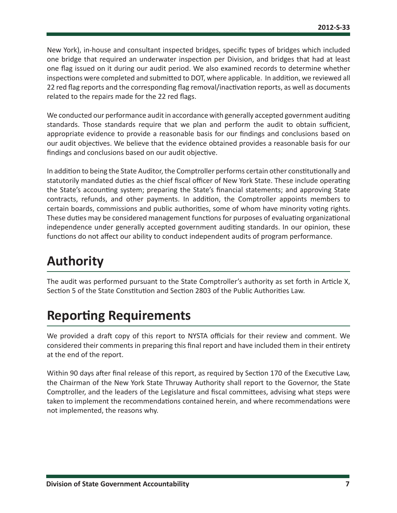<span id="page-7-0"></span>New York), in-house and consultant inspected bridges, specific types of bridges which included one bridge that required an underwater inspection per Division, and bridges that had at least one flag issued on it during our audit period. We also examined records to determine whether inspections were completed and submitted to DOT, where applicable. In addition, we reviewed all 22 red flag reports and the corresponding flag removal/inactivation reports, as well as documents related to the repairs made for the 22 red flags.

We conducted our performance audit in accordance with generally accepted government auditing standards. Those standards require that we plan and perform the audit to obtain sufficient, appropriate evidence to provide a reasonable basis for our findings and conclusions based on our audit objectives. We believe that the evidence obtained provides a reasonable basis for our findings and conclusions based on our audit objective.

In addition to being the State Auditor, the Comptroller performs certain other constitutionally and statutorily mandated duties as the chief fiscal officer of New York State. These include operating the State's accounting system; preparing the State's financial statements; and approving State contracts, refunds, and other payments. In addition, the Comptroller appoints members to certain boards, commissions and public authorities, some of whom have minority voting rights. These duties may be considered management functions for purposes of evaluating organizational independence under generally accepted government auditing standards. In our opinion, these functions do not affect our ability to conduct independent audits of program performance.

## **Authority**

The audit was performed pursuant to the State Comptroller's authority as set forth in Article X, Section 5 of the State Constitution and Section 2803 of the Public Authorities Law.

## **Reporting Requirements**

We provided a draft copy of this report to NYSTA officials for their review and comment. We considered their comments in preparing this final report and have included them in their entirety at the end of the report.

Within 90 days after final release of this report, as required by Section 170 of the Executive Law, the Chairman of the New York State Thruway Authority shall report to the Governor, the State Comptroller, and the leaders of the Legislature and fiscal committees, advising what steps were taken to implement the recommendations contained herein, and where recommendations were not implemented, the reasons why.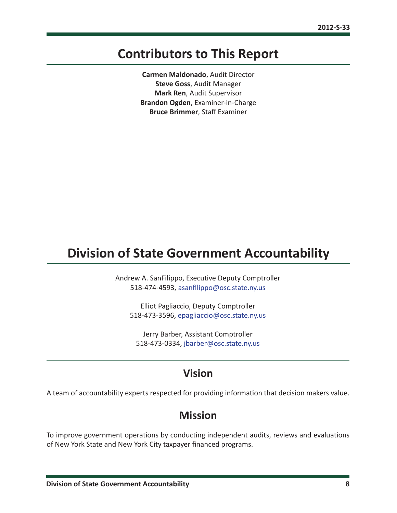## <span id="page-8-0"></span>**Contributors to This Report**

**Carmen Maldonado**, Audit Director **Steve Goss**, Audit Manager **Mark Ren**, Audit Supervisor **Brandon Ogden**, Examiner-in-Charge **Bruce Brimmer**, Staff Examiner

## **Division of State Government Accountability**

Andrew A. SanFilippo, Executive Deputy Comptroller 518-474-4593, [asanfilippo@osc.state.ny.us](mailto:asanfilippo%40osc.state.ny.us%0D?subject=)

Elliot Pagliaccio, Deputy Comptroller 518-473-3596, [epagliaccio@osc.state.ny.us](mailto:epagliaccio%40osc.state.ny.us?subject=)

Jerry Barber, Assistant Comptroller 518-473-0334, [jbarber@osc.state.ny.us](mailto:jbarber%40osc.state.ny.us?subject=)

## **Vision**

A team of accountability experts respected for providing information that decision makers value.

### **Mission**

To improve government operations by conducting independent audits, reviews and evaluations of New York State and New York City taxpayer financed programs.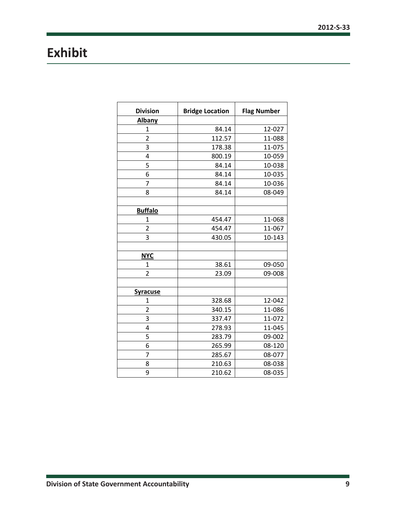# <span id="page-9-0"></span>**Exhibit**

| <b>Division</b>         | <b>Bridge Location</b> | <b>Flag Number</b> |
|-------------------------|------------------------|--------------------|
| <b>Albany</b>           |                        |                    |
| $\mathbf 1$             | 84.14                  | 12-027             |
| $\overline{\mathbf{c}}$ | 112.57                 | 11-088             |
| 3                       | 178.38                 | 11-075             |
| 4                       | 800.19                 | 10-059             |
| 5                       | 84.14                  | 10-038             |
| 6                       | 84.14                  | 10-035             |
| 7                       | 84.14                  | 10-036             |
| 8                       | 84.14                  | 08-049             |
|                         |                        |                    |
| <b>Buffalo</b>          |                        |                    |
| 1                       | 454.47                 | 11-068             |
| $\overline{\mathbf{c}}$ | 454.47                 | 11-067             |
| 3                       | 430.05                 | 10-143             |
|                         |                        |                    |
| <b>NYC</b>              |                        |                    |
| 1                       | 38.61                  | 09-050             |
| $\overline{2}$          | 23.09                  | 09-008             |
|                         |                        |                    |
| <b>Syracuse</b>         |                        |                    |
| $\mathbf 1$             | 328.68                 | 12-042             |
| $\overline{2}$          | 340.15                 | 11-086             |
| 3                       | 337.47                 | 11-072             |
| 4                       | 278.93                 | 11-045             |
| 5                       | 283.79                 | 09-002             |
| $\overline{6}$          | 265.99                 | 08-120             |
| 7                       | 285.67                 | 08-077             |
| 8                       | 210.63                 | 08-038             |
| 9                       | 210.62                 | 08-035             |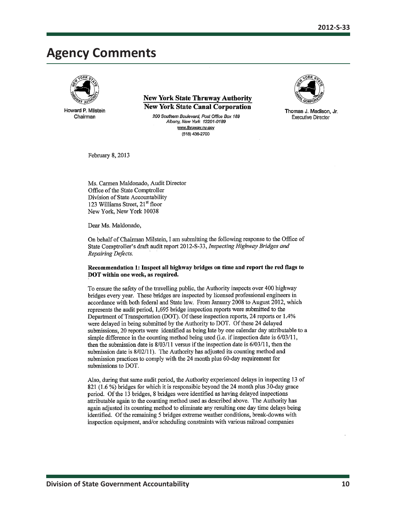## <span id="page-10-0"></span>**Agency Comments**



Howard P. Milstein Chairman

**New York State Thruway Authority New York State Canal Corporation** 

200 Southern Boulevard, Post Office Box 189 Albany, New York 12201-0189 www.thruway.ny.gov (518) 436-2700



Thomas J. Madison, Jr. **Executive Director** 

February 8, 2013

Ms. Carmen Maldonado. Audit Director Office of the State Comptroller Division of State Accountability 123 Williams Street, 21<sup>st</sup> floor New York, New York 10038

Dear Ms. Maldonado,

On behalf of Chairman Milstein, I am submitting the following response to the Office of State Comptroller's draft audit report 2012-S-33, Inspecting Highway Bridges and Repairing Defects.

#### Recommendation 1: Inspect all highway bridges on time and report the red flags to DOT within one week, as required.

To ensure the safety of the travelling public, the Authority inspects over 400 highway bridges every year. These bridges are inspected by licensed professional engineers in accordance with both federal and State law. From January 2008 to August 2012, which represents the audit period, 1,695 bridge inspection reports were submitted to the Department of Transportation (DOT). Of these inspection reports, 24 reports or 1.4% were delayed in being submitted by the Authority to DOT. Of these 24 delayed submissions, 20 reports were identified as being late by one calendar day attributable to a simple difference in the counting method being used (i.e. if inspection date is 6/03/11, then the submission date is  $8/03/11$  versus if the inspection date is  $6/03/11$ , then the submission date is 8/02/11). The Authority has adjusted its counting method and submission practices to comply with the 24 month plus 60-day requirement for submissions to DOT.

Also, during that same audit period, the Authority experienced delays in inspecting 13 of 821 (1.6%) bridges for which it is responsible beyond the 24 month plus 30-day grace period. Of the 13 bridges, 8 bridges were identified as having delayed inspections attributable again to the counting method used as described above. The Authority has again adjusted its counting method to eliminate any resulting one day time delays being identified. Of the remaining 5 bridges extreme weather conditions, break-downs with inspection equipment, and/or scheduling constraints with various railroad companies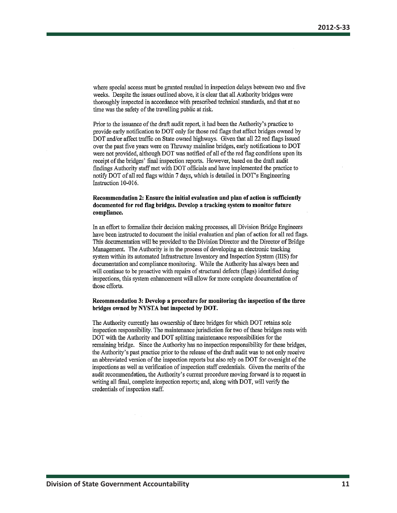where special access must be granted resulted in inspection delays between two and five weeks. Despite the issues outlined above, it is clear that all Authority bridges were thoroughly inspected in accordance with prescribed technical standards, and that at no time was the safety of the travelling public at risk.

Prior to the issuance of the draft audit report, it had been the Authority's practice to provide early notification to DOT only for those red flags that affect bridges owned by DOT and/or affect traffic on State owned highways. Given that all 22 red flags issued over the past five years were on Thruway mainline bridges, early notifications to DOT were not provided, although DOT was notified of all of the red flag conditions upon its receipt of the bridges' final inspection reports. However, based on the draft audit findings Authority staff met with DOT officials and have implemented the practice to notify DOT of all red flags within 7 days, which is detailed in DOT's Engineering Instruction 10-016.

#### Recommendation 2: Ensure the initial evaluation and plan of action is sufficiently documented for red flag bridges. Develop a tracking system to monitor future compliance.

In an effort to formalize their decision making processes, all Division Bridge Engineers have been instructed to document the initial evaluation and plan of action for all red flags. This documentation will be provided to the Division Director and the Director of Bridge Management. The Authority is in the process of developing an electronic tracking system within its automated Infrastructure Inventory and Inspection System (IIIS) for documentation and compliance monitoring. While the Authority has always been and will continue to be proactive with repairs of structural defects (flags) identified during inspections, this system enhancement will allow for more complete documentation of those efforts.

#### Recommendation 3: Develop a procedure for monitoring the inspection of the three bridges owned by NYSTA but inspected by DOT.

The Authority currently has ownership of three bridges for which DOT retains sole inspection responsibility. The maintenance jurisdiction for two of these bridges rests with DOT with the Authority and DOT splitting maintenance responsibilities for the remaining bridge. Since the Authority has no inspection responsibility for these bridges, the Authority's past practice prior to the release of the draft audit was to not only receive an abbreviated version of the inspection reports but also rely on DOT for oversight of the inspections as well as verification of inspection staff credentials. Given the merits of the audit recommendation, the Authority's current procedure moving forward is to request in writing all final, complete inspection reports; and, along with DOT, will verify the credentials of inspection staff.